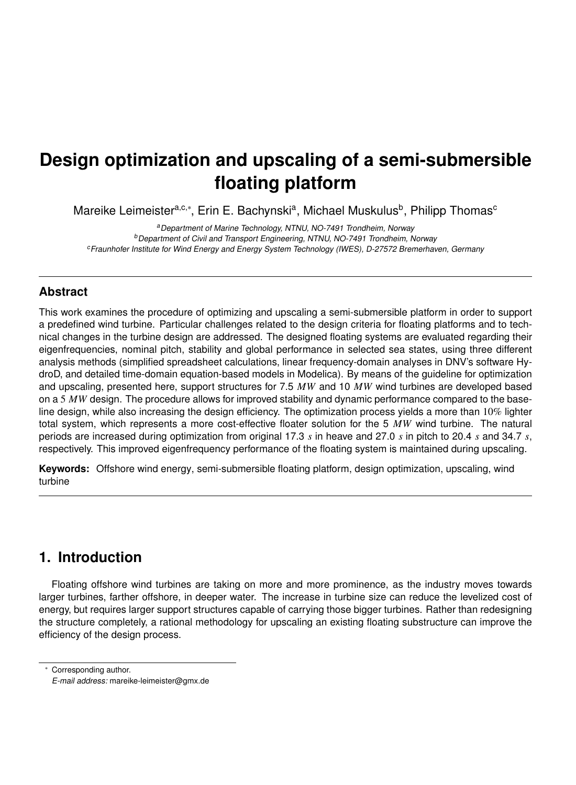# **Design optimization and upscaling of a semi-submersible floating platform**

Mareike Leimeister<sup>a,c,</sup>\*, Erin E. Bachynski<sup>a</sup>, Michael Muskulus<sup>b</sup>, Philipp Thomas<sup>c</sup>

<sup>a</sup>Department of Marine Technology, NTNU, NO-7491 Trondheim, Norway <sup>b</sup>Department of Civil and Transport Engineering, NTNU, NO-7491 Trondheim, Norway <sup>c</sup>Fraunhofer Institute for Wind Energy and Energy System Technology (IWES), D-27572 Bremerhaven, Germany

### **Abstract**

This work examines the procedure of optimizing and upscaling a semi-submersible platform in order to support a predefined wind turbine. Particular challenges related to the design criteria for floating platforms and to technical changes in the turbine design are addressed. The designed floating systems are evaluated regarding their eigenfrequencies, nominal pitch, stability and global performance in selected sea states, using three different analysis methods (simplified spreadsheet calculations, linear frequency-domain analyses in DNV's software HydroD, and detailed time-domain equation-based models in Modelica). By means of the guideline for optimization and upscaling, presented here, support structures for 7.5 *MW* and 10 *MW* wind turbines are developed based on a 5 MW design. The procedure allows for improved stability and dynamic performance compared to the baseline design, while also increasing the design efficiency. The optimization process yields a more than 10% lighter total system, which represents a more cost-effective floater solution for the 5 *MW* wind turbine. The natural periods are increased during optimization from original 17.3 *s* in heave and 27.0 *s* in pitch to 20.4 *s* and 34.7 *s*, respectively. This improved eigenfrequency performance of the floating system is maintained during upscaling.

**Keywords:** Offshore wind energy, semi-submersible floating platform, design optimization, upscaling, wind turbine

# **1. Introduction**

Floating offshore wind turbines are taking on more and more prominence, as the industry moves towards larger turbines, farther offshore, in deeper water. The increase in turbine size can reduce the levelized cost of energy, but requires larger support structures capable of carrying those bigger turbines. Rather than redesigning the structure completely, a rational methodology for upscaling an existing floating substructure can improve the efficiency of the design process.

<sup>∗</sup> Corresponding author.

E-mail address: mareike-leimeister@gmx.de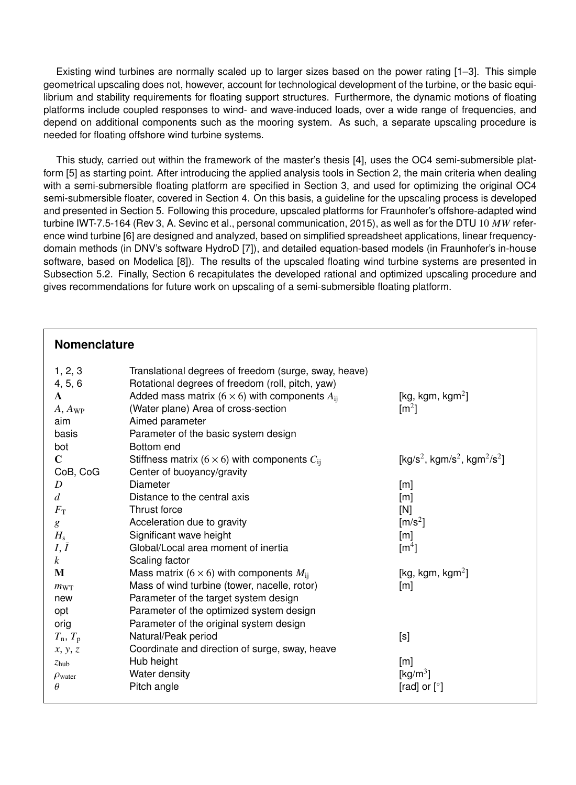Existing wind turbines are normally scaled up to larger sizes based on the power rating [1–3]. This simple geometrical upscaling does not, however, account for technological development of the turbine, or the basic equilibrium and stability requirements for floating support structures. Furthermore, the dynamic motions of floating platforms include coupled responses to wind- and wave-induced loads, over a wide range of frequencies, and depend on additional components such as the mooring system. As such, a separate upscaling procedure is needed for floating offshore wind turbine systems.

This study, carried out within the framework of the master's thesis [4], uses the OC4 semi-submersible platform [5] as starting point. After introducing the applied analysis tools in Section 2, the main criteria when dealing with a semi-submersible floating platform are specified in Section 3, and used for optimizing the original OC4 semi-submersible floater, covered in Section 4. On this basis, a guideline for the upscaling process is developed and presented in Section 5. Following this procedure, upscaled platforms for Fraunhofer's offshore-adapted wind turbine IWT-7.5-164 (Rev 3, A. Sevinc et al., personal communication, 2015), as well as for the DTU 10 *MW* reference wind turbine [6] are designed and analyzed, based on simplified spreadsheet applications, linear frequencydomain methods (in DNV's software HydroD [7]), and detailed equation-based models (in Fraunhofer's in-house software, based on Modelica [8]). The results of the upscaled floating wind turbine systems are presented in Subsection 5.2. Finally, Section 6 recapitulates the developed rational and optimized upscaling procedure and gives recommendations for future work on upscaling of a semi-submersible floating platform.

| Nomenclature              |                                                           |                                                                              |
|---------------------------|-----------------------------------------------------------|------------------------------------------------------------------------------|
| 1, 2, 3                   | Translational degrees of freedom (surge, sway, heave)     |                                                                              |
| 4, 5, 6                   | Rotational degrees of freedom (roll, pitch, yaw)          |                                                                              |
| $\mathbf{A}$              | Added mass matrix (6 $\times$ 6) with components $A_{ii}$ | [kg, kgm, kgm <sup>2</sup> ]                                                 |
| $A, A_{WP}$               | (Water plane) Area of cross-section                       | $\text{[m}^2\text{]}$                                                        |
| aim                       | Aimed parameter                                           |                                                                              |
| basis                     | Parameter of the basic system design                      |                                                                              |
| bot                       | Bottom end                                                |                                                                              |
| $\mathbf C$               | Stiffness matrix (6 $\times$ 6) with components $C_{ii}$  | [kg/s <sup>2</sup> , kgm/s <sup>2</sup> , kgm <sup>2</sup> /s <sup>2</sup> ] |
| CoB, CoG                  | Center of buoyancy/gravity                                |                                                                              |
| D                         | Diameter                                                  | [m]                                                                          |
| d                         | Distance to the central axis                              | [m]                                                                          |
| $F_{\rm T}$               | Thrust force                                              | [N]                                                                          |
| g                         | Acceleration due to gravity                               | [ $m/s2$ ]                                                                   |
| $H_{\rm s}$               | Significant wave height                                   | $\lceil m \rceil$                                                            |
| $I, \overline{I}$         | Global/Local area moment of inertia                       | $\lceil m^4 \rceil$                                                          |
| $\mathbf{k}$              | Scaling factor                                            |                                                                              |
| M                         | Mass matrix (6 $\times$ 6) with components $M_{ij}$       | [kg, kgm, kgm <sup>2</sup> ]                                                 |
| $m_{\text{WT}}$           | Mass of wind turbine (tower, nacelle, rotor)              | [m]                                                                          |
| new                       | Parameter of the target system design                     |                                                                              |
| opt                       | Parameter of the optimized system design                  |                                                                              |
| orig                      | Parameter of the original system design                   |                                                                              |
| $T_{\rm n}$ , $T_{\rm p}$ | Natural/Peak period                                       | [s]                                                                          |
| x, y, z                   | Coordinate and direction of surge, sway, heave            |                                                                              |
| z <sub>hub</sub>          | Hub height                                                | [m]                                                                          |
| $\rho_{\text{water}}$     | Water density                                             | [kg/m <sup>3</sup> ]                                                         |
| $\theta$                  | Pitch angle                                               | [rad] or $[°]$                                                               |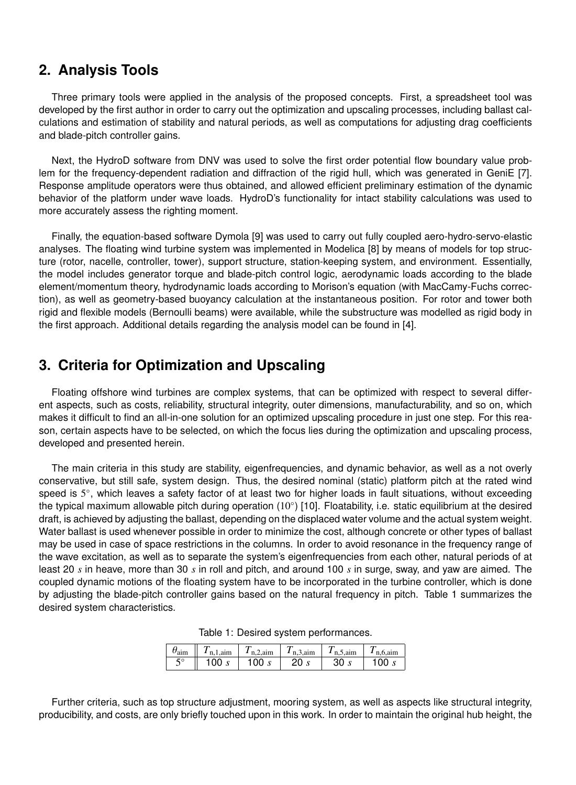# **2. Analysis Tools**

Three primary tools were applied in the analysis of the proposed concepts. First, a spreadsheet tool was developed by the first author in order to carry out the optimization and upscaling processes, including ballast calculations and estimation of stability and natural periods, as well as computations for adjusting drag coefficients and blade-pitch controller gains.

Next, the HydroD software from DNV was used to solve the first order potential flow boundary value problem for the frequency-dependent radiation and diffraction of the rigid hull, which was generated in GeniE [7]. Response amplitude operators were thus obtained, and allowed efficient preliminary estimation of the dynamic behavior of the platform under wave loads. HydroD's functionality for intact stability calculations was used to more accurately assess the righting moment.

Finally, the equation-based software Dymola [9] was used to carry out fully coupled aero-hydro-servo-elastic analyses. The floating wind turbine system was implemented in Modelica [8] by means of models for top structure (rotor, nacelle, controller, tower), support structure, station-keeping system, and environment. Essentially, the model includes generator torque and blade-pitch control logic, aerodynamic loads according to the blade element/momentum theory, hydrodynamic loads according to Morison's equation (with MacCamy-Fuchs correction), as well as geometry-based buoyancy calculation at the instantaneous position. For rotor and tower both rigid and flexible models (Bernoulli beams) were available, while the substructure was modelled as rigid body in the first approach. Additional details regarding the analysis model can be found in [4].

# **3. Criteria for Optimization and Upscaling**

Floating offshore wind turbines are complex systems, that can be optimized with respect to several different aspects, such as costs, reliability, structural integrity, outer dimensions, manufacturability, and so on, which makes it difficult to find an all-in-one solution for an optimized upscaling procedure in just one step. For this reason, certain aspects have to be selected, on which the focus lies during the optimization and upscaling process, developed and presented herein.

The main criteria in this study are stability, eigenfrequencies, and dynamic behavior, as well as a not overly conservative, but still safe, system design. Thus, the desired nominal (static) platform pitch at the rated wind speed is 5°, which leaves a safety factor of at least two for higher loads in fault situations, without exceeding the typical maximum allowable pitch during operation (10°) [10]. Floatability, i.e. static equilibrium at the desired draft, is achieved by adjusting the ballast, depending on the displaced water volume and the actual system weight. Water ballast is used whenever possible in order to minimize the cost, although concrete or other types of ballast may be used in case of space restrictions in the columns. In order to avoid resonance in the frequency range of the wave excitation, as well as to separate the system's eigenfrequencies from each other, natural periods of at least 20 *s* in heave, more than 30 *s* in roll and pitch, and around 100 *s* in surge, sway, and yaw are aimed. The coupled dynamic motions of the floating system have to be incorporated in the turbine controller, which is done by adjusting the blade-pitch controller gains based on the natural frequency in pitch. Table 1 summarizes the desired system characteristics.

| $\theta_{\text{aim}}$ | $n.1$ .aim | $T_{n,2,aim}$        | $I_{n,3,ain}$ | $I_{n.5,ain}$ | $n.6.$ aim |
|-----------------------|------------|----------------------|---------------|---------------|------------|
| $5^{\circ}$<br>ب      | 100        | 100.<br>$\mathbf{C}$ | 20s           | 30            | 100 $s$    |

Further criteria, such as top structure adjustment, mooring system, as well as aspects like structural integrity, producibility, and costs, are only briefly touched upon in this work. In order to maintain the original hub height, the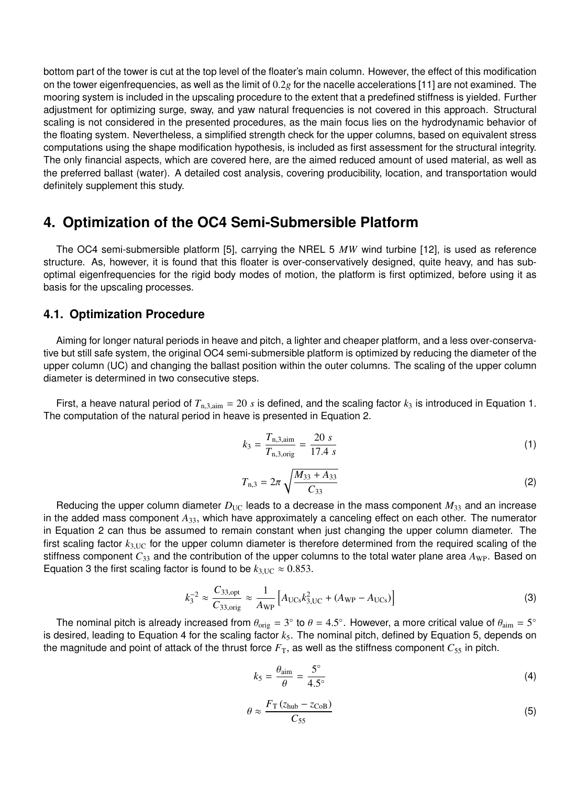bottom part of the tower is cut at the top level of the floater's main column. However, the effect of this modification on the tower eigenfrequencies, as well as the limit of <sup>0</sup>.2*<sup>g</sup>* for the nacelle accelerations [11] are not examined. The mooring system is included in the upscaling procedure to the extent that a predefined stiffness is yielded. Further adjustment for optimizing surge, sway, and yaw natural frequencies is not covered in this approach. Structural scaling is not considered in the presented procedures, as the main focus lies on the hydrodynamic behavior of the floating system. Nevertheless, a simplified strength check for the upper columns, based on equivalent stress computations using the shape modification hypothesis, is included as first assessment for the structural integrity. The only financial aspects, which are covered here, are the aimed reduced amount of used material, as well as the preferred ballast (water). A detailed cost analysis, covering producibility, location, and transportation would definitely supplement this study.

# **4. Optimization of the OC4 Semi-Submersible Platform**

The OC4 semi-submersible platform [5], carrying the NREL 5 *MW* wind turbine [12], is used as reference structure. As, however, it is found that this floater is over-conservatively designed, quite heavy, and has suboptimal eigenfrequencies for the rigid body modes of motion, the platform is first optimized, before using it as basis for the upscaling processes.

#### **4.1. Optimization Procedure**

Aiming for longer natural periods in heave and pitch, a lighter and cheaper platform, and a less over-conservative but still safe system, the original OC4 semi-submersible platform is optimized by reducing the diameter of the upper column (UC) and changing the ballast position within the outer columns. The scaling of the upper column diameter is determined in two consecutive steps.

First, a heave natural period of  $T_{n,3,4}$  = 20 *s* is defined, and the scaling factor  $k_3$  is introduced in Equation 1. The computation of the natural period in heave is presented in Equation 2.

$$
k_3 = \frac{T_{\text{n,3,air}}}{T_{\text{n,3,orig}}} = \frac{20 \, s}{17.4 \, s} \tag{1}
$$

$$
T_{n,3} = 2\pi \sqrt{\frac{M_{33} + A_{33}}{C_{33}}} \tag{2}
$$

Reducing the upper column diameter  $D_{\text{UC}}$  leads to a decrease in the mass component  $M_{33}$  and an increase in the added mass component *A*33, which have approximately a canceling effect on each other. The numerator in Equation 2 can thus be assumed to remain constant when just changing the upper column diameter. The first scaling factor  $k_{3\text{UC}}$  for the upper column diameter is therefore determined from the required scaling of the stiffness component  $C_{33}$  and the contribution of the upper columns to the total water plane area  $A_{WP}$ . Based on Equation 3 the first scaling factor is found to be  $k_{3,UC} \approx 0.853$ .

$$
k_3^{-2} \approx \frac{C_{33,\text{opt}}}{C_{33,\text{orig}}} \approx \frac{1}{A_{\text{WP}}} \left[ A_{\text{UCs}} k_{3,\text{UC}}^2 + (A_{\text{WP}} - A_{\text{UCs}}) \right]
$$
(3)

The nominal pitch is already increased from  $\theta_{\text{orig}} = 3^{\circ}$  to  $\theta = 4.5^{\circ}$ . However, a more critical value of  $\theta_{\text{aim}} = 5^{\circ}$ <br>desired Jeading to Equation 4 for the scaling factor  $k_{\text{c}}$ . The nominal pitch, define is desired, leading to Equation 4 for the scaling factor  $k_5$ . The nominal pitch, defined by Equation 5, depends on the magnitude and point of attack of the thrust force  $F<sub>T</sub>$ , as well as the stiffness component  $C<sub>55</sub>$  in pitch.

$$
k_5 = \frac{\theta_{\text{aim}}}{\theta} = \frac{5^{\circ}}{4.5^{\circ}}
$$
 (4)

$$
\theta \approx \frac{F_{\rm T} (z_{\rm hub} - z_{\rm CoB})}{C_{55}} \tag{5}
$$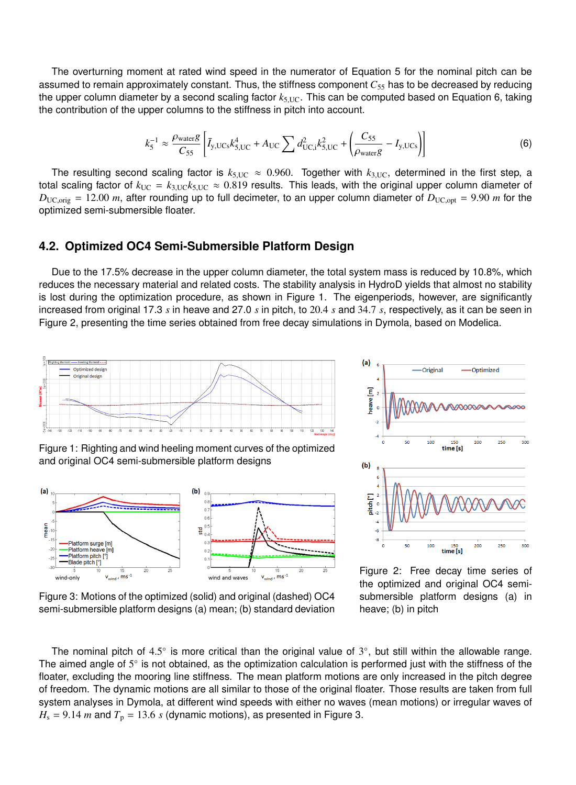The overturning moment at rated wind speed in the numerator of Equation 5 for the nominal pitch can be assumed to remain approximately constant. Thus, the stiffness component *C*<sup>55</sup> has to be decreased by reducing the upper column diameter by a second scaling factor *<sup>k</sup>*5,UC. This can be computed based on Equation 6, taking the contribution of the upper columns to the stiffness in pitch into account.

$$
k_5^{-1} \approx \frac{\rho_{\text{water}} g}{C_{55}} \left[ \bar{I}_{y,\text{UCs}} k_{5,\text{UC}}^4 + A_{\text{UC}} \sum d_{\text{UC,i}}^2 k_{5,\text{UC}}^2 + \left( \frac{C_{55}}{\rho_{\text{water}} g} - I_{y,\text{UCs}} \right) \right]
$$
(6)

The resulting second scaling factor is  $k_{5,\text{UC}} \approx 0.960$ . Together with  $k_{3,\text{UC}}$ , determined in the first step, a total scaling factor of  $k_{\text{UC}} = k_{3,\text{UC}} k_{5,\text{UC}} \approx 0.819$  results. This leads, with the original upper column diameter of  $D_{\text{UCذ} \text{orig}} = 12.00 \text{ m}$ , after rounding up to full decimeter, to an upper column diameter of  $D_{\text{UC,opt}} = 9.90 \text{ m}$  for the optimized semi-submersible floater.

#### **4.2. Optimized OC4 Semi-Submersible Platform Design**

Due to the 17.5% decrease in the upper column diameter, the total system mass is reduced by 10.8%, which reduces the necessary material and related costs. The stability analysis in HydroD yields that almost no stability is lost during the optimization procedure, as shown in Figure 1. The eigenperiods, however, are significantly increased from original 17.3 *<sup>s</sup>* in heave and 27.0 *<sup>s</sup>* in pitch, to <sup>20</sup>.<sup>4</sup> *<sup>s</sup>* and <sup>34</sup>.<sup>7</sup> *<sup>s</sup>*, respectively, as it can be seen in Figure 2, presenting the time series obtained from free decay simulations in Dymola, based on Modelica.



Figure 1: Righting and wind heeling moment curves of the optimized and original OC4 semi-submersible platform designs





Figure 3: Motions of the optimized (solid) and original (dashed) OC4 semi-submersible platform designs (a) mean; (b) standard deviation

Figure 2: Free decay time series of the optimized and original OC4 semisubmersible platform designs (a) in heave; (b) in pitch

The nominal pitch of 4.5° is more critical than the original value of 3°, but still within the allowable range.<br>• aimed angle of 5° is not obtained, as the optimization calculation is performed just with the stiffness of The aimed angle of  $5^{\circ}$  is not obtained, as the optimization calculation is performed just with the stiffness of the floater, excluding the mooring line stiffness. The mean platform motions are only increased in the pitch degree of freedom. The dynamic motions are all similar to those of the original floater. Those results are taken from full system analyses in Dymola, at different wind speeds with either no waves (mean motions) or irregular waves of  $H_s = 9.14$  *m* and  $T_p = 13.6$  *s* (dynamic motions), as presented in Figure 3.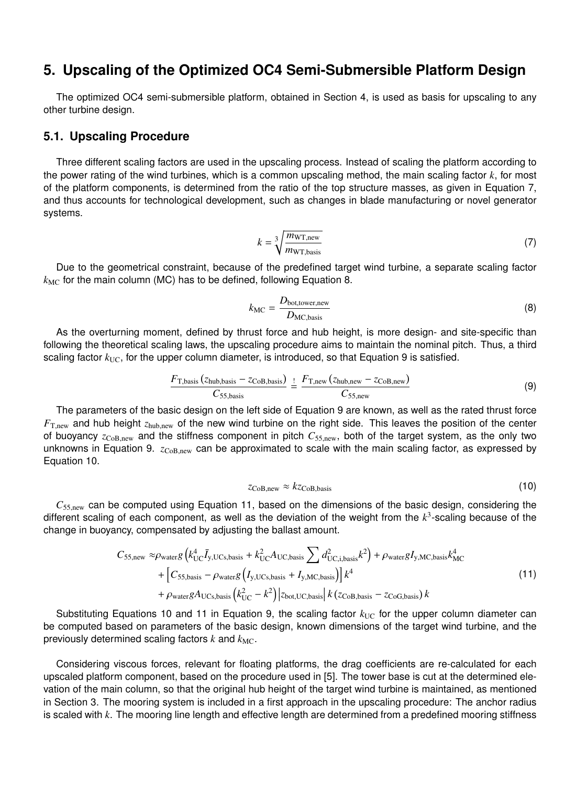# **5. Upscaling of the Optimized OC4 Semi-Submersible Platform Design**

The optimized OC4 semi-submersible platform, obtained in Section 4, is used as basis for upscaling to any other turbine design.

#### **5.1. Upscaling Procedure**

Three different scaling factors are used in the upscaling process. Instead of scaling the platform according to the power rating of the wind turbines, which is a common upscaling method, the main scaling factor *k*, for most of the platform components, is determined from the ratio of the top structure masses, as given in Equation 7, and thus accounts for technological development, such as changes in blade manufacturing or novel generator systems.

$$
k = \sqrt[3]{\frac{m_{\text{WT,new}}}{m_{\text{WT,basis}}}}
$$
(7)

Due to the geometrical constraint, because of the predefined target wind turbine, a separate scaling factor  $k_{MC}$  for the main column (MC) has to be defined, following Equation 8.

$$
k_{\rm MC} = \frac{D_{\rm bot, tower,new}}{D_{\rm MC, basis}}\tag{8}
$$

As the overturning moment, defined by thrust force and hub height, is more design- and site-specific than following the theoretical scaling laws, the upscaling procedure aims to maintain the nominal pitch. Thus, a third scaling factor  $k_{\text{UC}}$ , for the upper column diameter, is introduced, so that Equation 9 is satisfied.

$$
\frac{F_{\text{T}, \text{basis}}\left(z_{\text{hub}, \text{basis}} - z_{\text{CoB}, \text{basis}}\right)}{C_{55, \text{basis}}} \stackrel{!}{=} \frac{F_{\text{T}, \text{new}}\left(z_{\text{hub}, \text{new}} - z_{\text{CoB}, \text{new}}\right)}{C_{55, \text{new}}}
$$
(9)

The parameters of the basic design on the left side of Equation 9 are known, as well as the rated thrust force *<sup>F</sup>*<sup>T</sup>,new and hub height *<sup>z</sup>*hub,new of the new wind turbine on the right side. This leaves the position of the center of buoyancy *<sup>z</sup>*CoB,new and the stiffness component in pitch *<sup>C</sup>*<sup>55</sup>,new, both of the target system, as the only two unknowns in Equation 9. *z*<sub>CoB,new</sub> can be approximated to scale with the main scaling factor, as expressed by Equation 10.

$$
z_{\rm CoB, new} \approx k z_{\rm CoB, basis} \tag{10}
$$

 $C_{55,\text{new}}$  can be computed using Equation 11, based on the dimensions of the basic design, considering the different scaling of each component, as well as the deviation of the weight from the *k* 3 -scaling because of the change in buoyancy, compensated by adjusting the ballast amount.

$$
C_{55, new} \approx \rho_{water} g \left( k_{\text{UC}}^4 \bar{I}_{y,\text{UCs,basis}} + k_{\text{UC}}^2 A_{\text{UC,basis}} \sum d_{\text{UC,i,basis}}^2 k^2 \right) + \rho_{water} g I_{y,\text{MC,basis}} k_{\text{MC}}^4 + \left[ C_{55, basis} - \rho_{water} g \left( I_{y,\text{UCs,basis}} + I_{y,\text{MC,basis}} \right) \right] k^4 + \rho_{water} g A_{\text{UCs,basis}} \left( k_{\text{UC}}^2 - k^2 \right) \left| z_{\text{bot,UC,basis}} \right| k \left( z_{\text{COB,basis}} - z_{\text{COG,basis}} \right) k \tag{11}
$$

Substituting Equations 10 and 11 in Equation 9, the scaling factor  $k_{\text{UC}}$  for the upper column diameter can be computed based on parameters of the basic design, known dimensions of the target wind turbine, and the previously determined scaling factors  $k$  and  $k_{MC}$ .

Considering viscous forces, relevant for floating platforms, the drag coefficients are re-calculated for each upscaled platform component, based on the procedure used in [5]. The tower base is cut at the determined elevation of the main column, so that the original hub height of the target wind turbine is maintained, as mentioned in Section 3. The mooring system is included in a first approach in the upscaling procedure: The anchor radius is scaled with *k*. The mooring line length and effective length are determined from a predefined mooring stiffness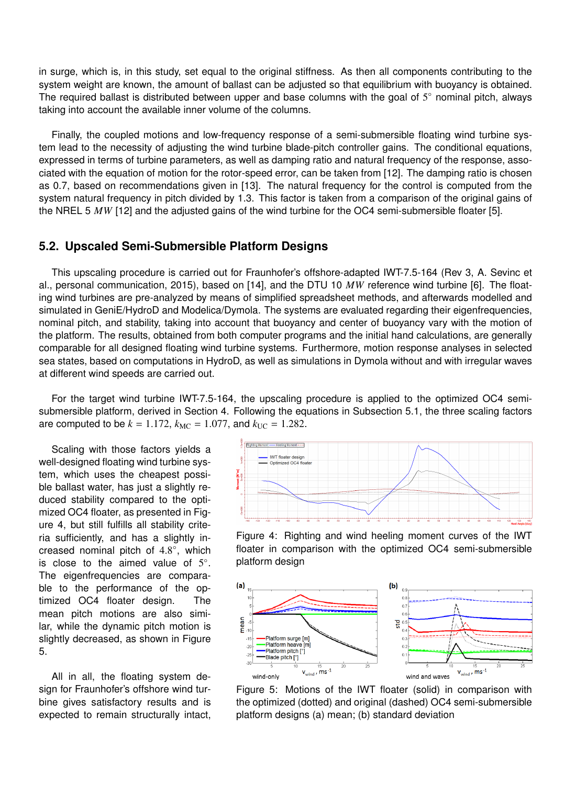in surge, which is, in this study, set equal to the original stiffness. As then all components contributing to the system weight are known, the amount of ballast can be adjusted so that equilibrium with buoyancy is obtained. The required ballast is distributed between upper and base columns with the goal of  $5^{\circ}$  nominal pitch, always taking into account the available inner volume of the columns.

Finally, the coupled motions and low-frequency response of a semi-submersible floating wind turbine system lead to the necessity of adjusting the wind turbine blade-pitch controller gains. The conditional equations, expressed in terms of turbine parameters, as well as damping ratio and natural frequency of the response, associated with the equation of motion for the rotor-speed error, can be taken from [12]. The damping ratio is chosen as 0.7, based on recommendations given in [13]. The natural frequency for the control is computed from the system natural frequency in pitch divided by 1.3. This factor is taken from a comparison of the original gains of the NREL 5 *MW* [12] and the adjusted gains of the wind turbine for the OC4 semi-submersible floater [5].

#### **5.2. Upscaled Semi-Submersible Platform Designs**

This upscaling procedure is carried out for Fraunhofer's offshore-adapted IWT-7.5-164 (Rev 3, A. Sevinc et al., personal communication, 2015), based on [14], and the DTU 10 *MW* reference wind turbine [6]. The floating wind turbines are pre-analyzed by means of simplified spreadsheet methods, and afterwards modelled and simulated in GeniE/HydroD and Modelica/Dymola. The systems are evaluated regarding their eigenfrequencies, nominal pitch, and stability, taking into account that buoyancy and center of buoyancy vary with the motion of the platform. The results, obtained from both computer programs and the initial hand calculations, are generally comparable for all designed floating wind turbine systems. Furthermore, motion response analyses in selected sea states, based on computations in HydroD, as well as simulations in Dymola without and with irregular waves at different wind speeds are carried out.

For the target wind turbine IWT-7.5-164, the upscaling procedure is applied to the optimized OC4 semisubmersible platform, derived in Section 4. Following the equations in Subsection 5.1, the three scaling factors are computed to be  $k = 1.172$ ,  $k_{MC} = 1.077$ , and  $k_{UC} = 1.282$ .

Scaling with those factors yields a well-designed floating wind turbine system, which uses the cheapest possible ballast water, has just a slightly reduced stability compared to the optimized OC4 floater, as presented in Figure 4, but still fulfills all stability criteria sufficiently, and has a slightly increased nominal pitch of  $4.8^{\circ}$ , which<br>is close to the aimed value of  $5^{\circ}$ is close to the aimed value of  $5^\circ$ . The eigenfrequencies are comparable to the performance of the optimized OC4 floater design. The mean pitch motions are also similar, while the dynamic pitch motion is slightly decreased, as shown in Figure 5.

All in all, the floating system design for Fraunhofer's offshore wind turbine gives satisfactory results and is expected to remain structurally intact,



Figure 4: Righting and wind heeling moment curves of the IWT floater in comparison with the optimized OC4 semi-submersible platform design



Figure 5: Motions of the IWT floater (solid) in comparison with the optimized (dotted) and original (dashed) OC4 semi-submersible platform designs (a) mean; (b) standard deviation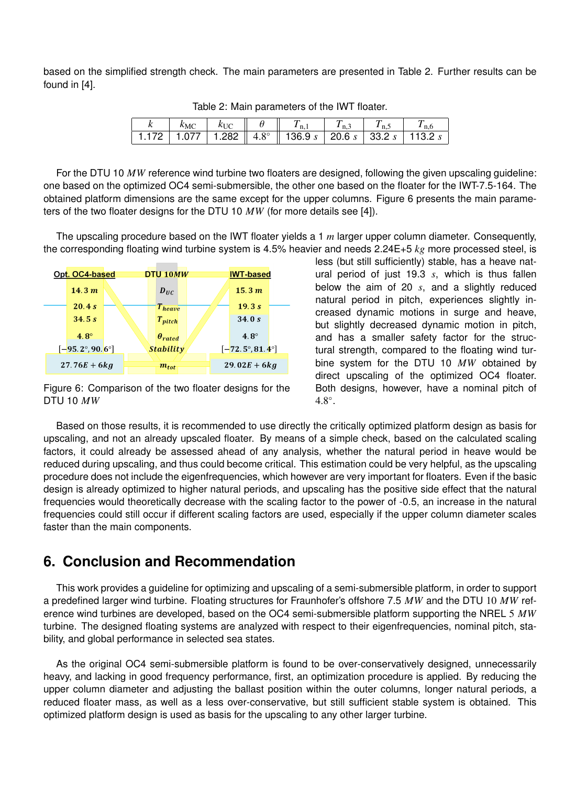based on the simplified strength check. The main parameters are presented in Table 2. Further results can be found in [4].

| $k_{MC}$<br>$\parallel$ $\theta$ $\parallel$ $T_{n,1}$ $\parallel$ $T_{n,3}$<br>$k_{\rm UC}$ |  |
|----------------------------------------------------------------------------------------------|--|
| 1.172   1.077   1.282    4.8°    136.9 $s$   20.6 $s$   33.2 $s$   113.2 $s$                 |  |

Table 2: Main parameters of the IWT floater.

For the DTU 10 *MW* reference wind turbine two floaters are designed, following the given upscaling guideline: one based on the optimized OC4 semi-submersible, the other one based on the floater for the IWT-7.5-164. The obtained platform dimensions are the same except for the upper columns. Figure 6 presents the main parameters of the two floater designs for the DTU 10 *MW* (for more details see [4]).

The upscaling procedure based on the IWT floater yields a 1 *m* larger upper column diameter. Consequently, the corresponding floating wind turbine system is 4.5% heavier and needs 2.24E+5 *kg* more processed steel, is



Figure 6: Comparison of the two floater designs for the DTU 10 *MW*

less (but still sufficiently) stable, has a heave natural period of just 19.3 *s*, which is thus fallen below the aim of 20 *s*, and a slightly reduced natural period in pitch, experiences slightly increased dynamic motions in surge and heave, but slightly decreased dynamic motion in pitch, and has a smaller safety factor for the structural strength, compared to the floating wind turbine system for the DTU 10 *MW* obtained by direct upscaling of the optimized OC4 floater. Both designs, however, have a nominal pitch of  $4.8^\circ$ .

Based on those results, it is recommended to use directly the critically optimized platform design as basis for upscaling, and not an already upscaled floater. By means of a simple check, based on the calculated scaling factors, it could already be assessed ahead of any analysis, whether the natural period in heave would be reduced during upscaling, and thus could become critical. This estimation could be very helpful, as the upscaling procedure does not include the eigenfrequencies, which however are very important for floaters. Even if the basic design is already optimized to higher natural periods, and upscaling has the positive side effect that the natural frequencies would theoretically decrease with the scaling factor to the power of -0.5, an increase in the natural frequencies could still occur if different scaling factors are used, especially if the upper column diameter scales faster than the main components.

# **6. Conclusion and Recommendation**

This work provides a guideline for optimizing and upscaling of a semi-submersible platform, in order to support a predefined larger wind turbine. Floating structures for Fraunhofer's offshore 7.5 *MW* and the DTU 10 *MW* reference wind turbines are developed, based on the OC4 semi-submersible platform supporting the NREL 5 *MW* turbine. The designed floating systems are analyzed with respect to their eigenfrequencies, nominal pitch, stability, and global performance in selected sea states.

As the original OC4 semi-submersible platform is found to be over-conservatively designed, unnecessarily heavy, and lacking in good frequency performance, first, an optimization procedure is applied. By reducing the upper column diameter and adjusting the ballast position within the outer columns, longer natural periods, a reduced floater mass, as well as a less over-conservative, but still sufficient stable system is obtained. This optimized platform design is used as basis for the upscaling to any other larger turbine.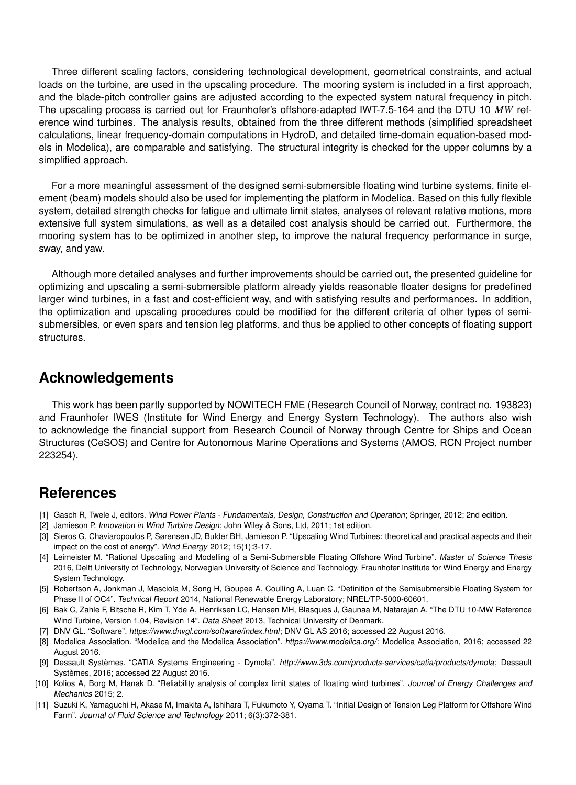Three different scaling factors, considering technological development, geometrical constraints, and actual loads on the turbine, are used in the upscaling procedure. The mooring system is included in a first approach, and the blade-pitch controller gains are adjusted according to the expected system natural frequency in pitch. The upscaling process is carried out for Fraunhofer's offshore-adapted IWT-7.5-164 and the DTU 10 *MW* reference wind turbines. The analysis results, obtained from the three different methods (simplified spreadsheet calculations, linear frequency-domain computations in HydroD, and detailed time-domain equation-based models in Modelica), are comparable and satisfying. The structural integrity is checked for the upper columns by a simplified approach.

For a more meaningful assessment of the designed semi-submersible floating wind turbine systems, finite element (beam) models should also be used for implementing the platform in Modelica. Based on this fully flexible system, detailed strength checks for fatigue and ultimate limit states, analyses of relevant relative motions, more extensive full system simulations, as well as a detailed cost analysis should be carried out. Furthermore, the mooring system has to be optimized in another step, to improve the natural frequency performance in surge, sway, and yaw.

Although more detailed analyses and further improvements should be carried out, the presented guideline for optimizing and upscaling a semi-submersible platform already yields reasonable floater designs for predefined larger wind turbines, in a fast and cost-efficient way, and with satisfying results and performances. In addition, the optimization and upscaling procedures could be modified for the different criteria of other types of semisubmersibles, or even spars and tension leg platforms, and thus be applied to other concepts of floating support structures.

### **Acknowledgements**

This work has been partly supported by NOWITECH FME (Research Council of Norway, contract no. 193823) and Fraunhofer IWES (Institute for Wind Energy and Energy System Technology). The authors also wish to acknowledge the financial support from Research Council of Norway through Centre for Ships and Ocean Structures (CeSOS) and Centre for Autonomous Marine Operations and Systems (AMOS, RCN Project number 223254).

# **References**

- [1] Gasch R, Twele J, editors. Wind Power Plants Fundamentals, Design, Construction and Operation; Springer, 2012; 2nd edition.
- [2] Jamieson P. Innovation in Wind Turbine Design; John Wiley & Sons, Ltd, 2011; 1st edition.
- [3] Sieros G, Chaviaropoulos P, Sørensen JD, Bulder BH, Jamieson P. "Upscaling Wind Turbines: theoretical and practical aspects and their impact on the cost of energy". Wind Energy 2012; 15(1):3-17.
- [4] Leimeister M. "Rational Upscaling and Modelling of a Semi-Submersible Floating Offshore Wind Turbine". Master of Science Thesis 2016, Delft University of Technology, Norwegian University of Science and Technology, Fraunhofer Institute for Wind Energy and Energy System Technology.
- [5] Robertson A, Jonkman J, Masciola M, Song H, Goupee A, Coulling A, Luan C. "Definition of the Semisubmersible Floating System for Phase II of OC4". Technical Report 2014, National Renewable Energy Laboratory; NREL/TP-5000-60601.
- [6] Bak C, Zahle F, Bitsche R, Kim T, Yde A, Henriksen LC, Hansen MH, Blasques J, Gaunaa M, Natarajan A. "The DTU 10-MW Reference Wind Turbine, Version 1.04, Revision 14". Data Sheet 2013, Technical University of Denmark.
- [7] DNV GL. "Software". https://www.dnvgl.com/software/index.html; DNV GL AS 2016; accessed 22 August 2016.
- [8] Modelica Association. "Modelica and the Modelica Association". https://www.modelica.org/; Modelica Association, 2016; accessed 22 August 2016.
- [9] Dessault Systèmes. "CATIA Systems Engineering Dymola". http://www.3ds.com/products-services/catia/products/dymola; Dessault Systèmes, 2016; accessed 22 August 2016.
- [10] Kolios A, Borg M, Hanak D. "Reliability analysis of complex limit states of floating wind turbines". Journal of Energy Challenges and Mechanics 2015; 2.
- [11] Suzuki K, Yamaguchi H, Akase M, Imakita A, Ishihara T, Fukumoto Y, Oyama T. "Initial Design of Tension Leg Platform for Offshore Wind Farm". Journal of Fluid Science and Technology 2011; 6(3):372-381.